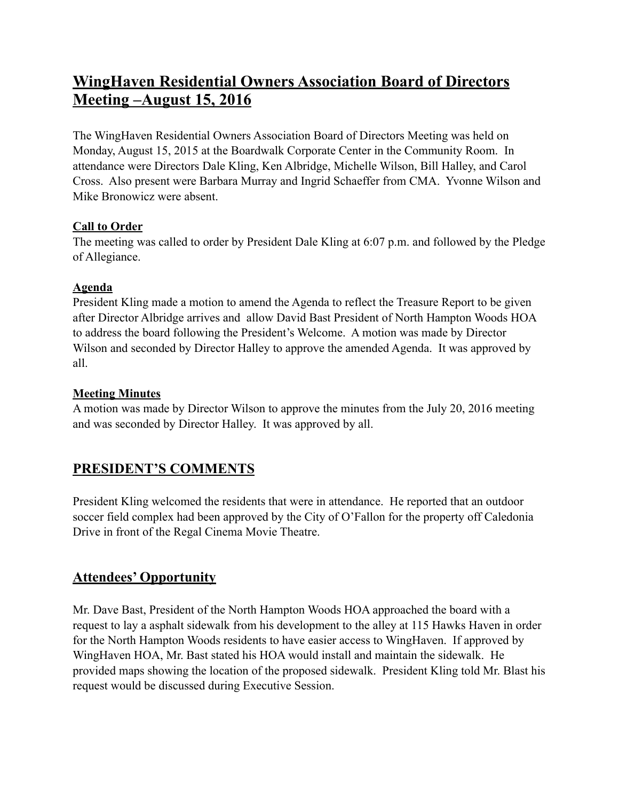# **WingHaven Residential Owners Association Board of Directors Meeting –August 15, 2016**

The WingHaven Residential Owners Association Board of Directors Meeting was held on Monday, August 15, 2015 at the Boardwalk Corporate Center in the Community Room. In attendance were Directors Dale Kling, Ken Albridge, Michelle Wilson, Bill Halley, and Carol Cross. Also present were Barbara Murray and Ingrid Schaeffer from CMA. Yvonne Wilson and Mike Bronowicz were absent.

#### **Call to Order**

The meeting was called to order by President Dale Kling at 6:07 p.m. and followed by the Pledge of Allegiance.

#### **Agenda**

President Kling made a motion to amend the Agenda to reflect the Treasure Report to be given after Director Albridge arrives and allow David Bast President of North Hampton Woods HOA to address the board following the President's Welcome. A motion was made by Director Wilson and seconded by Director Halley to approve the amended Agenda. It was approved by all.

### **Meeting Minutes**

A motion was made by Director Wilson to approve the minutes from the July 20, 2016 meeting and was seconded by Director Halley. It was approved by all.

# **PRESIDENT'S COMMENTS**

President Kling welcomed the residents that were in attendance. He reported that an outdoor soccer field complex had been approved by the City of O'Fallon for the property off Caledonia Drive in front of the Regal Cinema Movie Theatre.

# **Attendees' Opportunity**

Mr. Dave Bast, President of the North Hampton Woods HOA approached the board with a request to lay a asphalt sidewalk from his development to the alley at 115 Hawks Haven in order for the North Hampton Woods residents to have easier access to WingHaven. If approved by WingHaven HOA, Mr. Bast stated his HOA would install and maintain the sidewalk. He provided maps showing the location of the proposed sidewalk. President Kling told Mr. Blast his request would be discussed during Executive Session.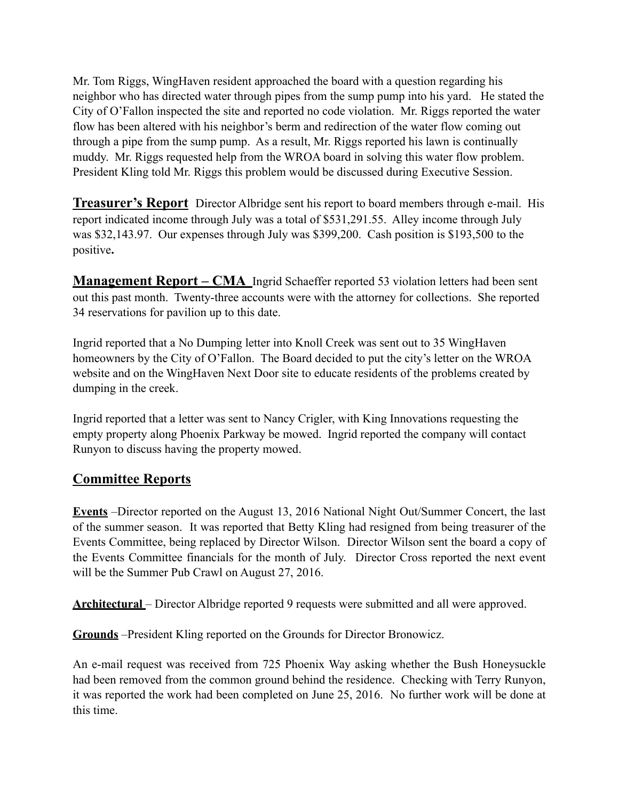Mr. Tom Riggs, WingHaven resident approached the board with a question regarding his neighbor who has directed water through pipes from the sump pump into his yard. He stated the City of O'Fallon inspected the site and reported no code violation. Mr. Riggs reported the water flow has been altered with his neighbor's berm and redirection of the water flow coming out through a pipe from the sump pump. As a result, Mr. Riggs reported his lawn is continually muddy. Mr. Riggs requested help from the WROA board in solving this water flow problem. President Kling told Mr. Riggs this problem would be discussed during Executive Session.

**Treasurer's Report** Director Albridge sent his report to board members through e-mail. His report indicated income through July was a total of \$531,291.55. Alley income through July was \$32,143.97. Our expenses through July was \$399,200. Cash position is \$193,500 to the positive**.**

**Management Report – CMA** Ingrid Schaeffer reported 53 violation letters had been sent out this past month. Twenty-three accounts were with the attorney for collections. She reported 34 reservations for pavilion up to this date.

Ingrid reported that a No Dumping letter into Knoll Creek was sent out to 35 WingHaven homeowners by the City of O'Fallon. The Board decided to put the city's letter on the WROA website and on the WingHaven Next Door site to educate residents of the problems created by dumping in the creek.

Ingrid reported that a letter was sent to Nancy Crigler, with King Innovations requesting the empty property along Phoenix Parkway be mowed. Ingrid reported the company will contact Runyon to discuss having the property mowed.

### **Committee Reports**

**Events** –Director reported on the August 13, 2016 National Night Out/Summer Concert, the last of the summer season. It was reported that Betty Kling had resigned from being treasurer of the Events Committee, being replaced by Director Wilson. Director Wilson sent the board a copy of the Events Committee financials for the month of July. Director Cross reported the next event will be the Summer Pub Crawl on August 27, 2016.

**Architectural** – Director Albridge reported 9 requests were submitted and all were approved.

**Grounds** –President Kling reported on the Grounds for Director Bronowicz.

An e-mail request was received from 725 Phoenix Way asking whether the Bush Honeysuckle had been removed from the common ground behind the residence. Checking with Terry Runyon, it was reported the work had been completed on June 25, 2016. No further work will be done at this time.